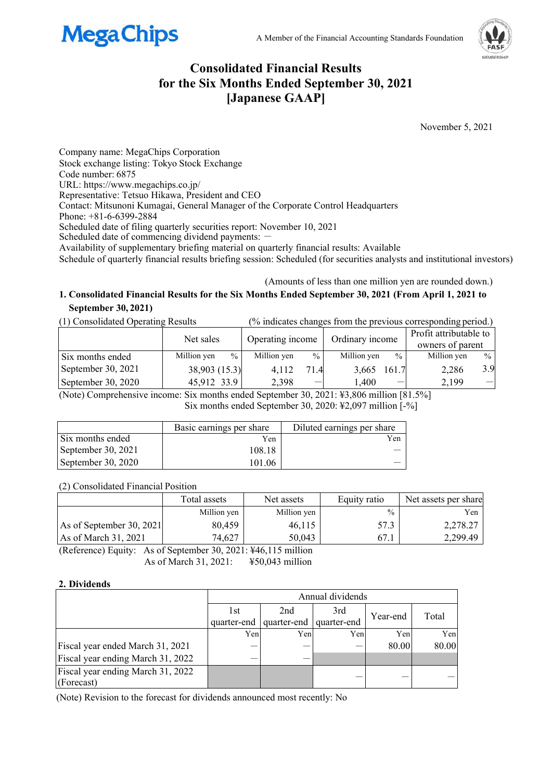



# **Consolidated Financial Results for the Six Months Ended September 30, 2021 [Japanese GAAP]**

November 5, 2021

Company name: MegaChips Corporation Stock exchange listing: Tokyo Stock Exchange Code number: 6875 URL: https://www.megachips.co.jp/ Representative: Tetsuo Hikawa, President and CEO Contact: Mitsunoni Kumagai, General Manager of the Corporate Control Headquarters Phone: +81-6-6399-2884 Scheduled date of filing quarterly securities report: November 10, 2021 Scheduled date of commencing dividend payments: -Availability of supplementary briefing material on quarterly financial results: Available Schedule of quarterly financial results briefing session: Scheduled (for securities analysts and institutional investors)

(Amounts of less than one million yen are rounded down.)

### **1. Consolidated Financial Results for the Six Months Ended September 30, 2021 (From April 1, 2021 to September 30, 2021)**

(1) Consolidated Operating Results (% indicates changes from the previous corresponding period.)

|                    | Net sales                    | Operating income |      | Ordinary income |       | Profit attributable to<br>owners of parent |      |
|--------------------|------------------------------|------------------|------|-----------------|-------|--------------------------------------------|------|
| Six months ended   | $\frac{0}{0}$<br>Million yen | Million yen      | $\%$ | Million yen     | $\%$  | Million yen                                | $\%$ |
| September 30, 2021 | 38,903 (15.3)                | 4.112            | 71.4 | 3,665           | 161.7 | 2,286                                      | 3.9  |
| September 30, 2020 | 45,912 33.9                  | 2,398            | _    | l.400           | –     | 2,199                                      |      |

(Note) Comprehensive income: Six months ended September 30, 2021: ¥3,806 million [81.5%] Six months ended September 30, 2020: ¥2,097 million [-%]

|                    | Basic earnings per share | Diluted earnings per share |
|--------------------|--------------------------|----------------------------|
| Six months ended   | Yen                      | Yen                        |
| September 30, 2021 | 108.18                   |                            |
| September 30, 2020 | 101.06                   |                            |

(2) Consolidated Financial Position

|                          | Total assets | Net assets  | Equity ratio  | Net assets per share |
|--------------------------|--------------|-------------|---------------|----------------------|
|                          | Million yen  | Million yen | $\frac{0}{0}$ | Yen                  |
| As of September 30, 2021 | 80,459       | 46.115      | 57.3          | 2,278.27             |
| As of March $31, 2021$   | 74,627       | 50,043      | 67.1          | 2,299.49             |

(Reference) Equity: As of September 30, 2021: ¥46,115 million As of March 31, 2021: ¥50,043 million

### **2. Dividends**

|                                   | Annual dividends |                         |     |          |       |
|-----------------------------------|------------------|-------------------------|-----|----------|-------|
|                                   | 1st              | 2nd                     | 3rd | Year-end | Total |
|                                   | quarter-end      | quarter-end quarter-end |     |          |       |
|                                   | Yen              | Yen                     | Yen | Yen      | Yen   |
| Fiscal year ended March 31, 2021  |                  |                         |     | 80.00    | 80.00 |
| Fiscal year ending March 31, 2022 |                  |                         |     |          |       |
| Fiscal year ending March 31, 2022 |                  |                         |     |          |       |
| (Forecast)                        |                  |                         |     |          |       |

(Note) Revision to the forecast for dividends announced most recently: No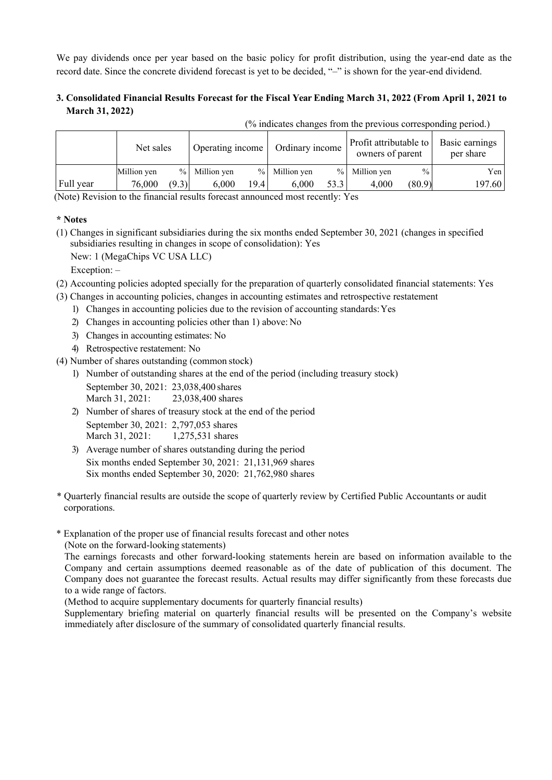We pay dividends once per year based on the basic policy for profit distribution, using the year-end date as the record date. Since the concrete dividend forecast is yet to be decided, "–" is shown for the year-end dividend.

## **3. Consolidated Financial Results Forecast for the Fiscal Year Ending March 31, 2022 (From April 1, 2021 to March 31, 2022)**

| (% indicates changes from the previous corresponding period.) |             |       |                  |      |                 |      |                                            |               |                             |
|---------------------------------------------------------------|-------------|-------|------------------|------|-----------------|------|--------------------------------------------|---------------|-----------------------------|
|                                                               | Net sales   |       | Operating income |      | Ordinary income |      | Profit attributable to<br>owners of parent |               | Basic earnings<br>per share |
|                                                               | Million yen |       | % Million yen    |      | % Million yen   |      | % Million yen                              | $\frac{0}{0}$ | Yen                         |
| Full year                                                     | 76,000      | (9.3) | 6,000            | 19.4 | 6.000           | 53.3 | 4,000                                      | (80.9)        | 197.60                      |

(Note) Revision to the financial results forecast announced most recently: Yes

#### **\* Notes**

(1) Changes in significant subsidiaries during the six months ended September 30, 2021 (changes in specified subsidiaries resulting in changes in scope of consolidation): Yes

New: 1 (MegaChips VC USA LLC)

Exception: –

- (2) Accounting policies adopted specially for the preparation of quarterly consolidated financial statements: Yes
- (3) Changes in accounting policies, changes in accounting estimates and retrospective restatement
	- 1) Changes in accounting policies due to the revision of accounting standards: Yes
	- 2) Changes in accounting policies other than 1) above: No
	- 3) Changes in accounting estimates: No
	- 4) Retrospective restatement: No
- (4) Number of shares outstanding (common stock)
	- 1) Number of outstanding shares at the end of the period (including treasury stock) September 30, 2021: 23,038,400 shares March 31, 2021: 23,038,400 shares
	- 2) Number of shares of treasury stock at the end of the period September 30, 2021: 2,797,053 shares March 31, 2021: 1.275,531 shares
	- 3) Average number of shares outstanding during the period Six months ended September 30, 2021: 21,131,969 shares
		- Six months ended September 30, 2020: 21,762,980 shares

\* Quarterly financial results are outside the scope of quarterly review by Certified Public Accountants or audit corporations.

\* Explanation of the proper use of financial results forecast and other notes (Note on the forward-looking statements)

The earnings forecasts and other forward-looking statements herein are based on information available to the Company and certain assumptions deemed reasonable as of the date of publication of this document. The Company does not guarantee the forecast results. Actual results may differ significantly from these forecasts due to a wide range of factors.

(Method to acquire supplementary documents for quarterly financial results)

Supplementary briefing material on quarterly financial results will be presented on the Company's website immediately after disclosure of the summary of consolidated quarterly financial results.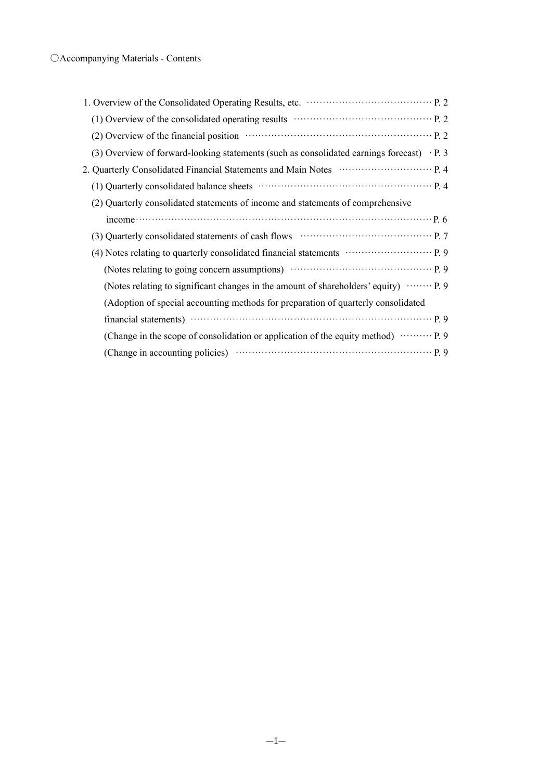| (2) Overview of the financial position material contracts and position p. 2                                                                                                                                                                                                                                                           |  |
|---------------------------------------------------------------------------------------------------------------------------------------------------------------------------------------------------------------------------------------------------------------------------------------------------------------------------------------|--|
| (3) Overview of forward-looking statements (such as consolidated earnings forecast) $\cdot$ P. 3                                                                                                                                                                                                                                      |  |
|                                                                                                                                                                                                                                                                                                                                       |  |
|                                                                                                                                                                                                                                                                                                                                       |  |
| (2) Quarterly consolidated statements of income and statements of comprehensive                                                                                                                                                                                                                                                       |  |
| $\frac{1}{2}$ ncome $\cdots$ $\cdots$ $\cdots$ $\cdots$ $\cdots$ $\cdots$ $\cdots$ $\cdots$ $\cdots$ $\cdots$ $\cdots$ $\cdots$ $\cdots$ $\cdots$ $\cdots$ $\cdots$ $\cdots$ $\cdots$ $\cdots$ $\cdots$ $\cdots$ $\cdots$ $\cdots$ $\cdots$ $\cdots$ $\cdots$ $\cdots$ $\cdots$ $\cdots$ $\cdots$ $\cdots$ $\cdots$ $\cdots$ $\cdots$ |  |
|                                                                                                                                                                                                                                                                                                                                       |  |
| (4) Notes relating to quarterly consolidated financial statements ………………………… P. 9                                                                                                                                                                                                                                                     |  |
|                                                                                                                                                                                                                                                                                                                                       |  |
| (Notes relating to significant changes in the amount of shareholders' equity) ……… P. 9                                                                                                                                                                                                                                                |  |
| (Adoption of special accounting methods for preparation of quarterly consolidated                                                                                                                                                                                                                                                     |  |
|                                                                                                                                                                                                                                                                                                                                       |  |
| (Change in the scope of consolidation or application of the equity method)  P. 9                                                                                                                                                                                                                                                      |  |
|                                                                                                                                                                                                                                                                                                                                       |  |
|                                                                                                                                                                                                                                                                                                                                       |  |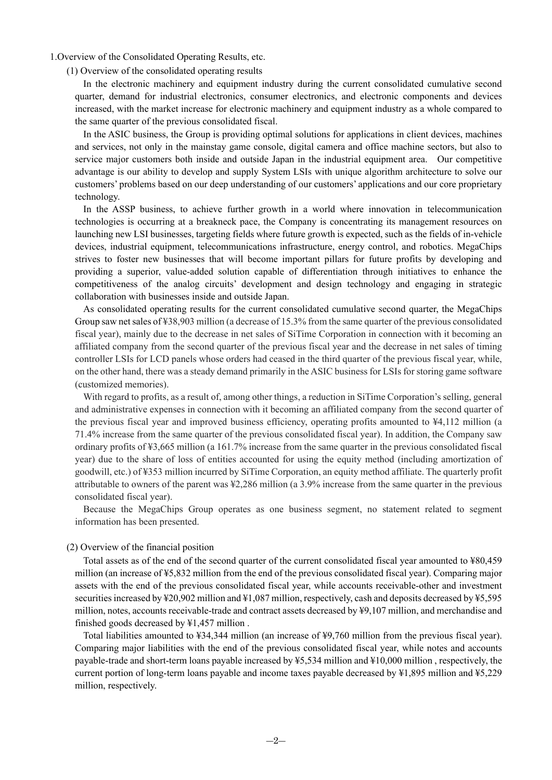1.Overview of the Consolidated Operating Results, etc.

(1) Overview of the consolidated operating results

In the electronic machinery and equipment industry during the current consolidated cumulative second quarter, demand for industrial electronics, consumer electronics, and electronic components and devices increased, with the market increase for electronic machinery and equipment industry as a whole compared to the same quarter of the previous consolidated fiscal.

In the ASIC business, the Group is providing optimal solutions for applications in client devices, machines and services, not only in the mainstay game console, digital camera and office machine sectors, but also to service major customers both inside and outside Japan in the industrial equipment area. Our competitive advantage is our ability to develop and supply System LSIs with unique algorithm architecture to solve our customers' problems based on our deep understanding of our customers' applications and our core proprietary technology.

In the ASSP business, to achieve further growth in a world where innovation in telecommunication technologies is occurring at a breakneck pace, the Company is concentrating its management resources on launching new LSI businesses, targeting fields where future growth is expected, such as the fields of in-vehicle devices, industrial equipment, telecommunications infrastructure, energy control, and robotics. MegaChips strives to foster new businesses that will become important pillars for future profits by developing and providing a superior, value-added solution capable of differentiation through initiatives to enhance the competitiveness of the analog circuits' development and design technology and engaging in strategic collaboration with businesses inside and outside Japan.

As consolidated operating results for the current consolidated cumulative second quarter, the MegaChips Group saw net sales of ¥38,903 million (a decrease of 15.3% from the same quarter of the previous consolidated fiscal year), mainly due to the decrease in net sales of SiTime Corporation in connection with it becoming an affiliated company from the second quarter of the previous fiscal year and the decrease in net sales of timing controller LSIs for LCD panels whose orders had ceased in the third quarter of the previous fiscal year, while, on the other hand, there was a steady demand primarily in the ASIC business for LSIs for storing game software (customized memories).

With regard to profits, as a result of, among other things, a reduction in SiTime Corporation's selling, general and administrative expenses in connection with it becoming an affiliated company from the second quarter of the previous fiscal year and improved business efficiency, operating profits amounted to ¥4,112 million (a 71.4% increase from the same quarter of the previous consolidated fiscal year). In addition, the Company saw ordinary profits of ¥3,665 million (a 161.7% increase from the same quarter in the previous consolidated fiscal year) due to the share of loss of entities accounted for using the equity method (including amortization of goodwill, etc.) of ¥353 million incurred by SiTime Corporation, an equity method affiliate. The quarterly profit attributable to owners of the parent was ¥2,286 million (a 3.9% increase from the same quarter in the previous consolidated fiscal year).

Because the MegaChips Group operates as one business segment, no statement related to segment information has been presented.

#### (2) Overview of the financial position

Total assets as of the end of the second quarter of the current consolidated fiscal year amounted to ¥80,459 million (an increase of ¥5,832 million from the end of the previous consolidated fiscal year). Comparing major assets with the end of the previous consolidated fiscal year, while accounts receivable-other and investment securities increased by ¥20,902 million and ¥1,087 million, respectively, cash and deposits decreased by ¥5,595 million, notes, accounts receivable-trade and contract assets decreased by ¥9,107 million, and merchandise and finished goods decreased by ¥1,457 million .

Total liabilities amounted to ¥34,344 million (an increase of ¥9,760 million from the previous fiscal year). Comparing major liabilities with the end of the previous consolidated fiscal year, while notes and accounts payable-trade and short-term loans payable increased by ¥5,534 million and ¥10,000 million , respectively, the current portion of long-term loans payable and income taxes payable decreased by ¥1,895 million and ¥5,229 million, respectively.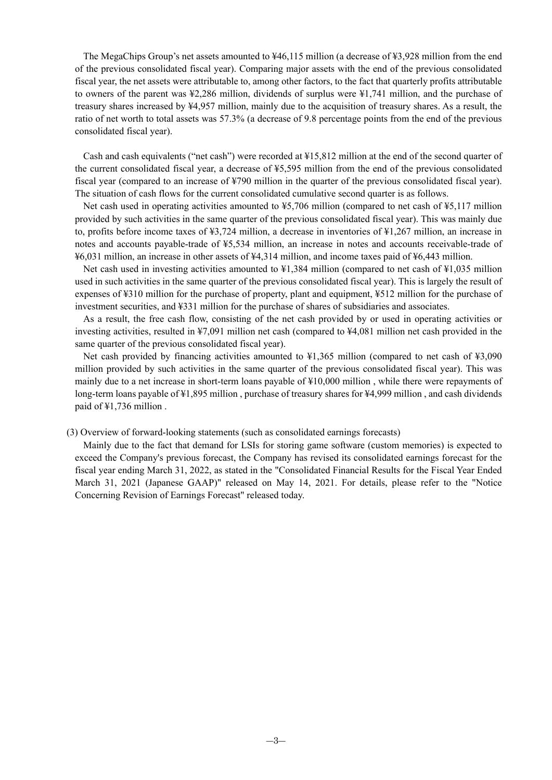The MegaChips Group's net assets amounted to ¥46,115 million (a decrease of ¥3,928 million from the end of the previous consolidated fiscal year). Comparing major assets with the end of the previous consolidated fiscal year, the net assets were attributable to, among other factors, to the fact that quarterly profits attributable to owners of the parent was ¥2,286 million, dividends of surplus were ¥1,741 million, and the purchase of treasury shares increased by ¥4,957 million, mainly due to the acquisition of treasury shares. As a result, the ratio of net worth to total assets was 57.3% (a decrease of 9.8 percentage points from the end of the previous consolidated fiscal year).

Cash and cash equivalents ("net cash") were recorded at ¥15,812 million at the end of the second quarter of the current consolidated fiscal year, a decrease of ¥5,595 million from the end of the previous consolidated fiscal year (compared to an increase of ¥790 million in the quarter of the previous consolidated fiscal year). The situation of cash flows for the current consolidated cumulative second quarter is as follows.

Net cash used in operating activities amounted to ¥5,706 million (compared to net cash of ¥5,117 million provided by such activities in the same quarter of the previous consolidated fiscal year). This was mainly due to, profits before income taxes of ¥3,724 million, a decrease in inventories of ¥1,267 million, an increase in notes and accounts payable-trade of ¥5,534 million, an increase in notes and accounts receivable-trade of ¥6,031 million, an increase in other assets of ¥4,314 million, and income taxes paid of ¥6,443 million.

Net cash used in investing activities amounted to  $\frac{1384}{1384}$  million (compared to net cash of  $\frac{1035}{1035}$  million used in such activities in the same quarter of the previous consolidated fiscal year). This is largely the result of expenses of ¥310 million for the purchase of property, plant and equipment, ¥512 million for the purchase of investment securities, and ¥331 million for the purchase of shares of subsidiaries and associates.

As a result, the free cash flow, consisting of the net cash provided by or used in operating activities or investing activities, resulted in ¥7,091 million net cash (compared to ¥4,081 million net cash provided in the same quarter of the previous consolidated fiscal year).

Net cash provided by financing activities amounted to ¥1,365 million (compared to net cash of ¥3,090 million provided by such activities in the same quarter of the previous consolidated fiscal year). This was mainly due to a net increase in short-term loans payable of ¥10,000 million , while there were repayments of long-term loans payable of ¥1,895 million , purchase of treasury shares for ¥4,999 million , and cash dividends paid of ¥1,736 million .

#### (3) Overview of forward-looking statements (such as consolidated earnings forecasts)

Mainly due to the fact that demand for LSIs for storing game software (custom memories) is expected to exceed the Company's previous forecast, the Company has revised its consolidated earnings forecast for the fiscal year ending March 31, 2022, as stated in the "Consolidated Financial Results for the Fiscal Year Ended March 31, 2021 (Japanese GAAP)" released on May 14, 2021. For details, please refer to the "Notice Concerning Revision of Earnings Forecast" released today.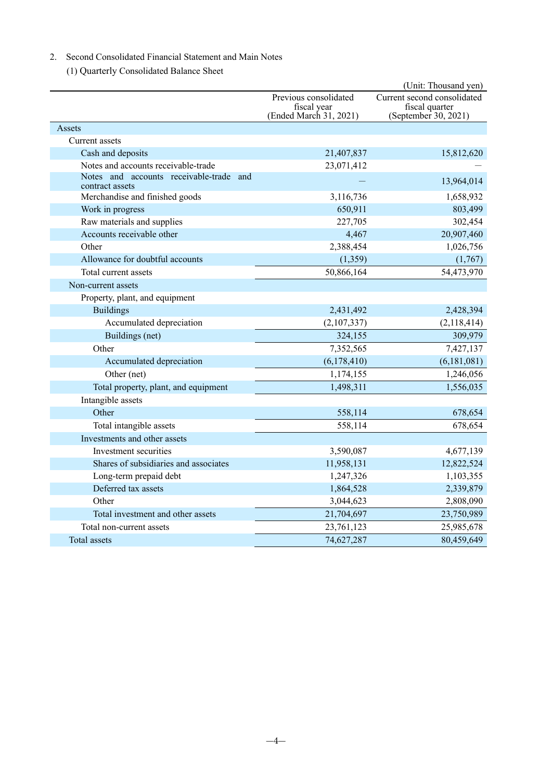### 2. Second Consolidated Financial Statement and Main Notes

(1) Quarterly Consolidated Balance Sheet

|                                                            |                                                                | (Unit: Thousand yen)                                                  |
|------------------------------------------------------------|----------------------------------------------------------------|-----------------------------------------------------------------------|
|                                                            | Previous consolidated<br>fiscal year<br>(Ended March 31, 2021) | Current second consolidated<br>fiscal quarter<br>(September 30, 2021) |
| Assets                                                     |                                                                |                                                                       |
| Current assets                                             |                                                                |                                                                       |
| Cash and deposits                                          | 21,407,837                                                     | 15,812,620                                                            |
| Notes and accounts receivable-trade                        | 23,071,412                                                     |                                                                       |
| Notes and accounts receivable-trade and<br>contract assets |                                                                | 13,964,014                                                            |
| Merchandise and finished goods                             | 3,116,736                                                      | 1,658,932                                                             |
| Work in progress                                           | 650,911                                                        | 803,499                                                               |
| Raw materials and supplies                                 | 227,705                                                        | 302,454                                                               |
| Accounts receivable other                                  | 4,467                                                          | 20,907,460                                                            |
| Other                                                      | 2,388,454                                                      | 1,026,756                                                             |
| Allowance for doubtful accounts                            | (1, 359)                                                       | (1,767)                                                               |
| Total current assets                                       | 50,866,164                                                     | 54,473,970                                                            |
| Non-current assets                                         |                                                                |                                                                       |
| Property, plant, and equipment                             |                                                                |                                                                       |
| <b>Buildings</b>                                           | 2,431,492                                                      | 2,428,394                                                             |
| Accumulated depreciation                                   | (2,107,337)                                                    | (2,118,414)                                                           |
| Buildings (net)                                            | 324,155                                                        | 309,979                                                               |
| Other                                                      | 7,352,565                                                      | 7,427,137                                                             |
| Accumulated depreciation                                   | (6,178,410)                                                    | (6,181,081)                                                           |
| Other (net)                                                | 1,174,155                                                      | 1,246,056                                                             |
| Total property, plant, and equipment                       | 1,498,311                                                      | 1,556,035                                                             |
| Intangible assets                                          |                                                                |                                                                       |
| Other                                                      | 558,114                                                        | 678,654                                                               |
| Total intangible assets                                    | 558,114                                                        | 678,654                                                               |
| Investments and other assets                               |                                                                |                                                                       |
| Investment securities                                      | 3,590,087                                                      | 4,677,139                                                             |
| Shares of subsidiaries and associates                      | 11,958,131                                                     | 12,822,524                                                            |
| Long-term prepaid debt                                     | 1,247,326                                                      | 1,103,355                                                             |
| Deferred tax assets                                        | 1,864,528                                                      | 2,339,879                                                             |
| Other                                                      | 3,044,623                                                      | 2,808,090                                                             |
| Total investment and other assets                          | 21,704,697                                                     | 23,750,989                                                            |
| Total non-current assets                                   | 23,761,123                                                     | 25,985,678                                                            |
| Total assets                                               | 74,627,287                                                     | 80,459,649                                                            |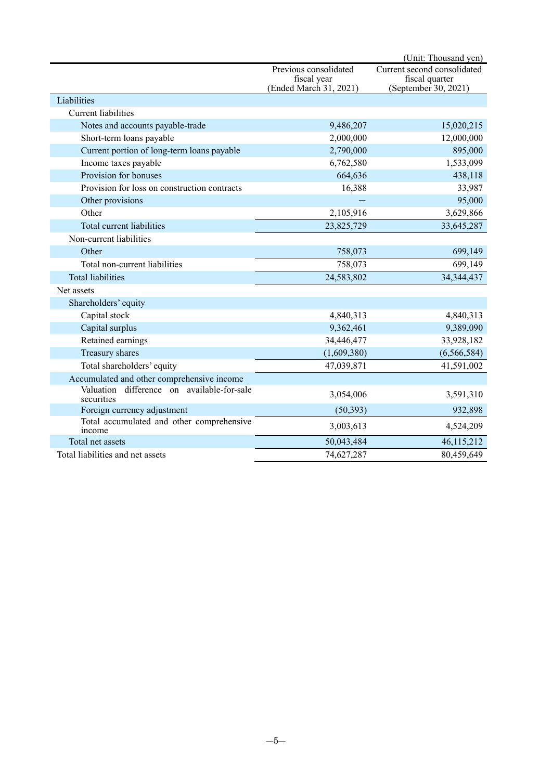|                                                          |                                                                | (Unit: Thousand yen)                                                  |
|----------------------------------------------------------|----------------------------------------------------------------|-----------------------------------------------------------------------|
|                                                          | Previous consolidated<br>fiscal year<br>(Ended March 31, 2021) | Current second consolidated<br>fiscal quarter<br>(September 30, 2021) |
| Liabilities                                              |                                                                |                                                                       |
| <b>Current liabilities</b>                               |                                                                |                                                                       |
| Notes and accounts payable-trade                         | 9,486,207                                                      | 15,020,215                                                            |
| Short-term loans payable                                 | 2,000,000                                                      | 12,000,000                                                            |
| Current portion of long-term loans payable               | 2,790,000                                                      | 895,000                                                               |
| Income taxes payable                                     | 6,762,580                                                      | 1,533,099                                                             |
| Provision for bonuses                                    | 664,636                                                        | 438,118                                                               |
| Provision for loss on construction contracts             | 16,388                                                         | 33,987                                                                |
| Other provisions                                         |                                                                | 95,000                                                                |
| Other                                                    | 2,105,916                                                      | 3,629,866                                                             |
| Total current liabilities                                | 23,825,729                                                     | 33,645,287                                                            |
| Non-current liabilities                                  |                                                                |                                                                       |
| Other                                                    | 758,073                                                        | 699,149                                                               |
| Total non-current liabilities                            | 758,073                                                        | 699,149                                                               |
| <b>Total liabilities</b>                                 | 24,583,802                                                     | 34, 344, 437                                                          |
| Net assets                                               |                                                                |                                                                       |
| Shareholders' equity                                     |                                                                |                                                                       |
| Capital stock                                            | 4,840,313                                                      | 4,840,313                                                             |
| Capital surplus                                          | 9,362,461                                                      | 9,389,090                                                             |
| Retained earnings                                        | 34,446,477                                                     | 33,928,182                                                            |
| Treasury shares                                          | (1,609,380)                                                    | (6, 566, 584)                                                         |
| Total shareholders' equity                               | 47,039,871                                                     | 41,591,002                                                            |
| Accumulated and other comprehensive income               |                                                                |                                                                       |
| Valuation difference on available-for-sale<br>securities | 3,054,006                                                      | 3,591,310                                                             |
| Foreign currency adjustment                              | (50, 393)                                                      | 932,898                                                               |
| Total accumulated and other comprehensive<br>income      | 3,003,613                                                      | 4,524,209                                                             |
| Total net assets                                         | 50,043,484                                                     | 46,115,212                                                            |
| Total liabilities and net assets                         | 74,627,287                                                     | 80,459,649                                                            |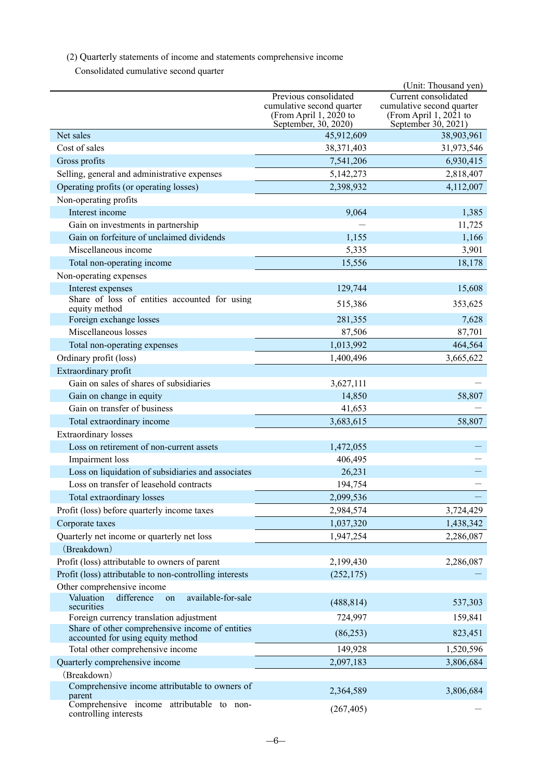(2) Quarterly statements of income and statements comprehensive income

Consolidated cumulative second quarter

|                                                                                      |                                                     | (Unit: Thousand yen)                                |
|--------------------------------------------------------------------------------------|-----------------------------------------------------|-----------------------------------------------------|
|                                                                                      | Previous consolidated                               | Current consolidated                                |
|                                                                                      | cumulative second quarter<br>(From April 1, 2020 to | cumulative second quarter<br>(From April 1, 2021 to |
|                                                                                      | September, 30, 2020)                                | September 30, 2021)                                 |
| Net sales                                                                            | 45,912,609                                          | 38,903,961                                          |
| Cost of sales                                                                        | 38,371,403                                          | 31,973,546                                          |
| Gross profits                                                                        | 7,541,206                                           | 6,930,415                                           |
| Selling, general and administrative expenses                                         | 5,142,273                                           | 2,818,407                                           |
| Operating profits (or operating losses)                                              | 2,398,932                                           | 4,112,007                                           |
| Non-operating profits                                                                |                                                     |                                                     |
| Interest income                                                                      | 9,064                                               | 1,385                                               |
| Gain on investments in partnership                                                   |                                                     | 11,725                                              |
| Gain on forfeiture of unclaimed dividends                                            | 1,155                                               | 1,166                                               |
| Miscellaneous income                                                                 | 5,335                                               | 3,901                                               |
| Total non-operating income                                                           | 15,556                                              | 18,178                                              |
| Non-operating expenses                                                               |                                                     |                                                     |
| Interest expenses                                                                    | 129,744                                             | 15,608                                              |
| Share of loss of entities accounted for using<br>equity method                       | 515,386                                             | 353,625                                             |
| Foreign exchange losses                                                              | 281,355                                             | 7,628                                               |
| Miscellaneous losses                                                                 | 87,506                                              | 87,701                                              |
| Total non-operating expenses                                                         | 1,013,992                                           | 464,564                                             |
| Ordinary profit (loss)                                                               | 1,400,496                                           | 3,665,622                                           |
| Extraordinary profit                                                                 |                                                     |                                                     |
| Gain on sales of shares of subsidiaries                                              | 3,627,111                                           |                                                     |
| Gain on change in equity                                                             | 14,850                                              | 58,807                                              |
| Gain on transfer of business                                                         | 41,653                                              |                                                     |
| Total extraordinary income                                                           | 3,683,615                                           | 58,807                                              |
| <b>Extraordinary</b> losses                                                          |                                                     |                                                     |
| Loss on retirement of non-current assets                                             | 1,472,055                                           |                                                     |
| Impairment loss                                                                      | 406,495                                             |                                                     |
| Loss on liquidation of subsidiaries and associates                                   | 26,231                                              |                                                     |
| Loss on transfer of leasehold contracts                                              | 194,754                                             |                                                     |
| Total extraordinary losses                                                           | 2,099,536                                           |                                                     |
| Profit (loss) before quarterly income taxes                                          | 2,984,574                                           | 3,724,429                                           |
| Corporate taxes                                                                      | 1,037,320                                           | 1,438,342                                           |
| Quarterly net income or quarterly net loss                                           | 1,947,254                                           | 2,286,087                                           |
| (Breakdown)                                                                          |                                                     |                                                     |
| Profit (loss) attributable to owners of parent                                       | 2,199,430                                           | 2,286,087                                           |
| Profit (loss) attributable to non-controlling interests                              | (252, 175)                                          |                                                     |
| Other comprehensive income                                                           |                                                     |                                                     |
| available-for-sale<br>Valuation<br>difference<br>on<br>securities                    | (488, 814)                                          | 537,303                                             |
| Foreign currency translation adjustment                                              | 724,997                                             | 159,841                                             |
| Share of other comprehensive income of entities<br>accounted for using equity method | (86,253)                                            | 823,451                                             |
| Total other comprehensive income                                                     | 149,928                                             | 1,520,596                                           |
| Quarterly comprehensive income                                                       | 2,097,183                                           | 3,806,684                                           |
| (Breakdown)                                                                          |                                                     |                                                     |
| Comprehensive income attributable to owners of<br>parent                             | 2,364,589                                           | 3,806,684                                           |
| Comprehensive income attributable to non-<br>controlling interests                   | (267, 405)                                          |                                                     |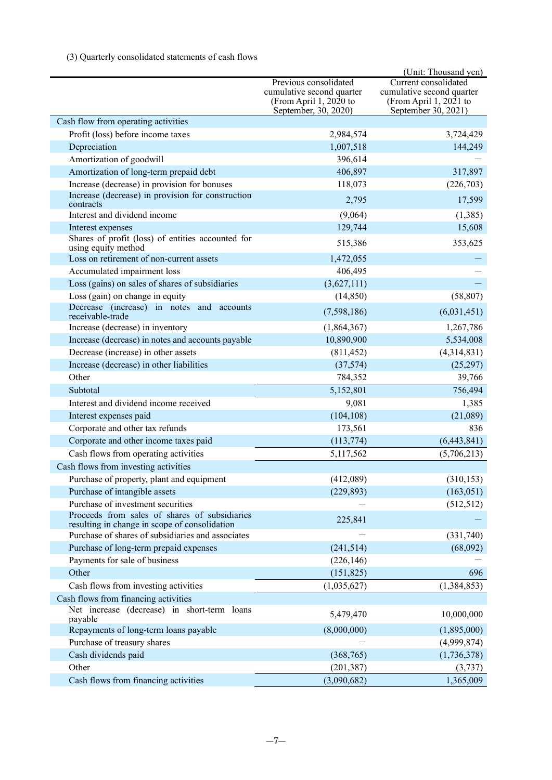## (3) Quarterly consolidated statements of cash flows

|                                                                                                |                                                                                                      | (Unit: Thousand yen)                                                                               |
|------------------------------------------------------------------------------------------------|------------------------------------------------------------------------------------------------------|----------------------------------------------------------------------------------------------------|
|                                                                                                | Previous consolidated<br>cumulative second quarter<br>(From April 1, 2020 to<br>September, 30, 2020) | Current consolidated<br>cumulative second quarter<br>(From April 1, 2021 to<br>September 30, 2021) |
| Cash flow from operating activities                                                            |                                                                                                      |                                                                                                    |
| Profit (loss) before income taxes                                                              | 2,984,574                                                                                            | 3,724,429                                                                                          |
| Depreciation                                                                                   | 1,007,518                                                                                            | 144,249                                                                                            |
| Amortization of goodwill                                                                       | 396,614                                                                                              |                                                                                                    |
| Amortization of long-term prepaid debt                                                         | 406,897                                                                                              | 317,897                                                                                            |
| Increase (decrease) in provision for bonuses                                                   | 118,073                                                                                              | (226,703)                                                                                          |
| Increase (decrease) in provision for construction<br>contracts                                 | 2,795                                                                                                | 17,599                                                                                             |
| Interest and dividend income                                                                   | (9,064)                                                                                              | (1,385)                                                                                            |
| Interest expenses                                                                              | 129,744                                                                                              | 15,608                                                                                             |
| Shares of profit (loss) of entities accounted for<br>using equity method                       | 515,386                                                                                              | 353,625                                                                                            |
| Loss on retirement of non-current assets                                                       | 1,472,055                                                                                            |                                                                                                    |
| Accumulated impairment loss                                                                    | 406,495                                                                                              |                                                                                                    |
| Loss (gains) on sales of shares of subsidiaries                                                | (3,627,111)                                                                                          |                                                                                                    |
| Loss (gain) on change in equity                                                                | (14, 850)                                                                                            | (58, 807)                                                                                          |
| Decrease (increase) in notes and accounts<br>receivable-trade                                  | (7,598,186)                                                                                          | (6,031,451)                                                                                        |
| Increase (decrease) in inventory                                                               | (1,864,367)                                                                                          | 1,267,786                                                                                          |
| Increase (decrease) in notes and accounts payable                                              | 10,890,900                                                                                           | 5,534,008                                                                                          |
| Decrease (increase) in other assets                                                            | (811, 452)                                                                                           | (4,314,831)                                                                                        |
| Increase (decrease) in other liabilities                                                       | (37, 574)                                                                                            | (25,297)                                                                                           |
| Other                                                                                          | 784,352                                                                                              | 39,766                                                                                             |
| Subtotal                                                                                       | 5,152,801                                                                                            | 756,494                                                                                            |
| Interest and dividend income received                                                          | 9,081                                                                                                | 1,385                                                                                              |
| Interest expenses paid                                                                         | (104, 108)                                                                                           | (21,089)                                                                                           |
| Corporate and other tax refunds                                                                | 173,561                                                                                              | 836                                                                                                |
| Corporate and other income taxes paid                                                          | (113, 774)                                                                                           | (6,443,841)                                                                                        |
| Cash flows from operating activities                                                           | 5,117,562                                                                                            | (5,706,213)                                                                                        |
| Cash flows from investing activities                                                           |                                                                                                      |                                                                                                    |
| Purchase of property, plant and equipment                                                      | (412,089)                                                                                            | (310, 153)                                                                                         |
| Purchase of intangible assets                                                                  | (229, 893)                                                                                           | (163, 051)                                                                                         |
| Purchase of investment securities                                                              |                                                                                                      | (512, 512)                                                                                         |
| Proceeds from sales of shares of subsidiaries<br>resulting in change in scope of consolidation | 225,841                                                                                              |                                                                                                    |
| Purchase of shares of subsidiaries and associates                                              |                                                                                                      | (331,740)                                                                                          |
| Purchase of long-term prepaid expenses                                                         | (241, 514)                                                                                           | (68,092)                                                                                           |
| Payments for sale of business                                                                  | (226, 146)                                                                                           |                                                                                                    |
| Other                                                                                          | (151, 825)                                                                                           | 696                                                                                                |
| Cash flows from investing activities                                                           | (1,035,627)                                                                                          | (1,384,853)                                                                                        |
| Cash flows from financing activities                                                           |                                                                                                      |                                                                                                    |
| Net increase (decrease) in short-term loans<br>payable                                         | 5,479,470                                                                                            | 10,000,000                                                                                         |
| Repayments of long-term loans payable                                                          | (8,000,000)                                                                                          | (1,895,000)                                                                                        |
| Purchase of treasury shares                                                                    |                                                                                                      | (4,999,874)                                                                                        |
| Cash dividends paid                                                                            | (368, 765)                                                                                           | (1,736,378)                                                                                        |
| Other                                                                                          | (201, 387)                                                                                           | (3,737)                                                                                            |
| Cash flows from financing activities                                                           | (3,090,682)                                                                                          | 1,365,009                                                                                          |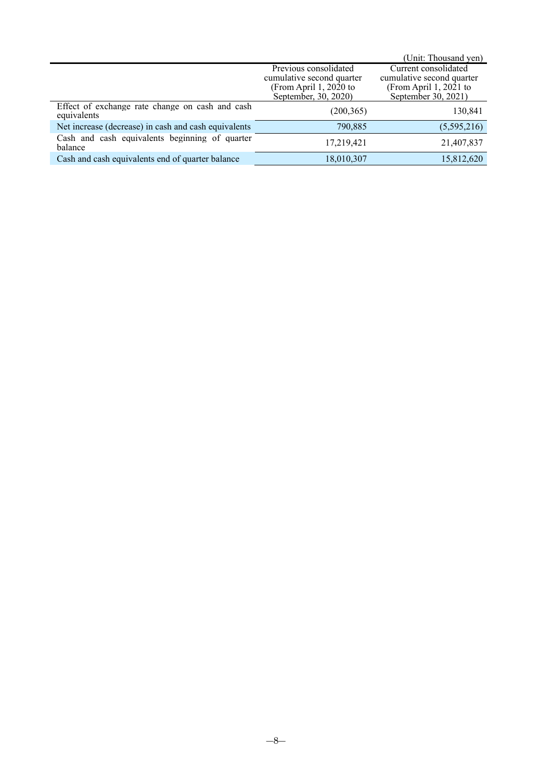|                                                                |                                                                                                      | (Unit: Thousand yen)                                                                               |
|----------------------------------------------------------------|------------------------------------------------------------------------------------------------------|----------------------------------------------------------------------------------------------------|
|                                                                | Previous consolidated<br>cumulative second quarter<br>(From April 1, 2020 to<br>September, 30, 2020) | Current consolidated<br>cumulative second quarter<br>(From April 1, 2021 to<br>September 30, 2021) |
| Effect of exchange rate change on cash and cash<br>equivalents | (200, 365)                                                                                           | 130,841                                                                                            |
| Net increase (decrease) in cash and cash equivalents           | 790,885                                                                                              | (5,595,216)                                                                                        |
| Cash and cash equivalents beginning of quarter<br>balance      | 17,219,421                                                                                           | 21,407,837                                                                                         |
| Cash and cash equivalents end of quarter balance               | 18,010,307                                                                                           | 15,812,620                                                                                         |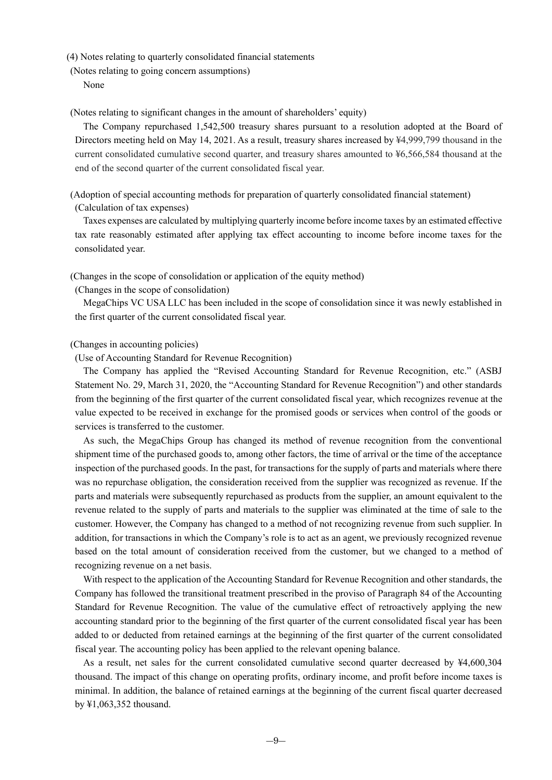(4) Notes relating to quarterly consolidated financial statements

(Notes relating to going concern assumptions)

None

(Notes relating to significant changes in the amount of shareholders' equity)

The Company repurchased 1,542,500 treasury shares pursuant to a resolution adopted at the Board of Directors meeting held on May 14, 2021. As a result, treasury shares increased by ¥4,999,799 thousand in the current consolidated cumulative second quarter, and treasury shares amounted to ¥6,566,584 thousand at the end of the second quarter of the current consolidated fiscal year.

(Adoption of special accounting methods for preparation of quarterly consolidated financial statement) (Calculation of tax expenses)

Taxes expenses are calculated by multiplying quarterly income before income taxes by an estimated effective tax rate reasonably estimated after applying tax effect accounting to income before income taxes for the consolidated year.

(Changes in the scope of consolidation or application of the equity method)

(Changes in the scope of consolidation)

MegaChips VC USA LLC has been included in the scope of consolidation since it was newly established in the first quarter of the current consolidated fiscal year.

#### (Changes in accounting policies)

(Use of Accounting Standard for Revenue Recognition)

The Company has applied the "Revised Accounting Standard for Revenue Recognition, etc." (ASBJ Statement No. 29, March 31, 2020, the "Accounting Standard for Revenue Recognition") and other standards from the beginning of the first quarter of the current consolidated fiscal year, which recognizes revenue at the value expected to be received in exchange for the promised goods or services when control of the goods or services is transferred to the customer.

As such, the MegaChips Group has changed its method of revenue recognition from the conventional shipment time of the purchased goods to, among other factors, the time of arrival or the time of the acceptance inspection of the purchased goods. In the past, for transactions for the supply of parts and materials where there was no repurchase obligation, the consideration received from the supplier was recognized as revenue. If the parts and materials were subsequently repurchased as products from the supplier, an amount equivalent to the revenue related to the supply of parts and materials to the supplier was eliminated at the time of sale to the customer. However, the Company has changed to a method of not recognizing revenue from such supplier. In addition, for transactions in which the Company's role is to act as an agent, we previously recognized revenue based on the total amount of consideration received from the customer, but we changed to a method of recognizing revenue on a net basis.

With respect to the application of the Accounting Standard for Revenue Recognition and other standards, the Company has followed the transitional treatment prescribed in the proviso of Paragraph 84 of the Accounting Standard for Revenue Recognition. The value of the cumulative effect of retroactively applying the new accounting standard prior to the beginning of the first quarter of the current consolidated fiscal year has been added to or deducted from retained earnings at the beginning of the first quarter of the current consolidated fiscal year. The accounting policy has been applied to the relevant opening balance.

As a result, net sales for the current consolidated cumulative second quarter decreased by ¥4,600,304 thousand. The impact of this change on operating profits, ordinary income, and profit before income taxes is minimal. In addition, the balance of retained earnings at the beginning of the current fiscal quarter decreased by ¥1,063,352 thousand.